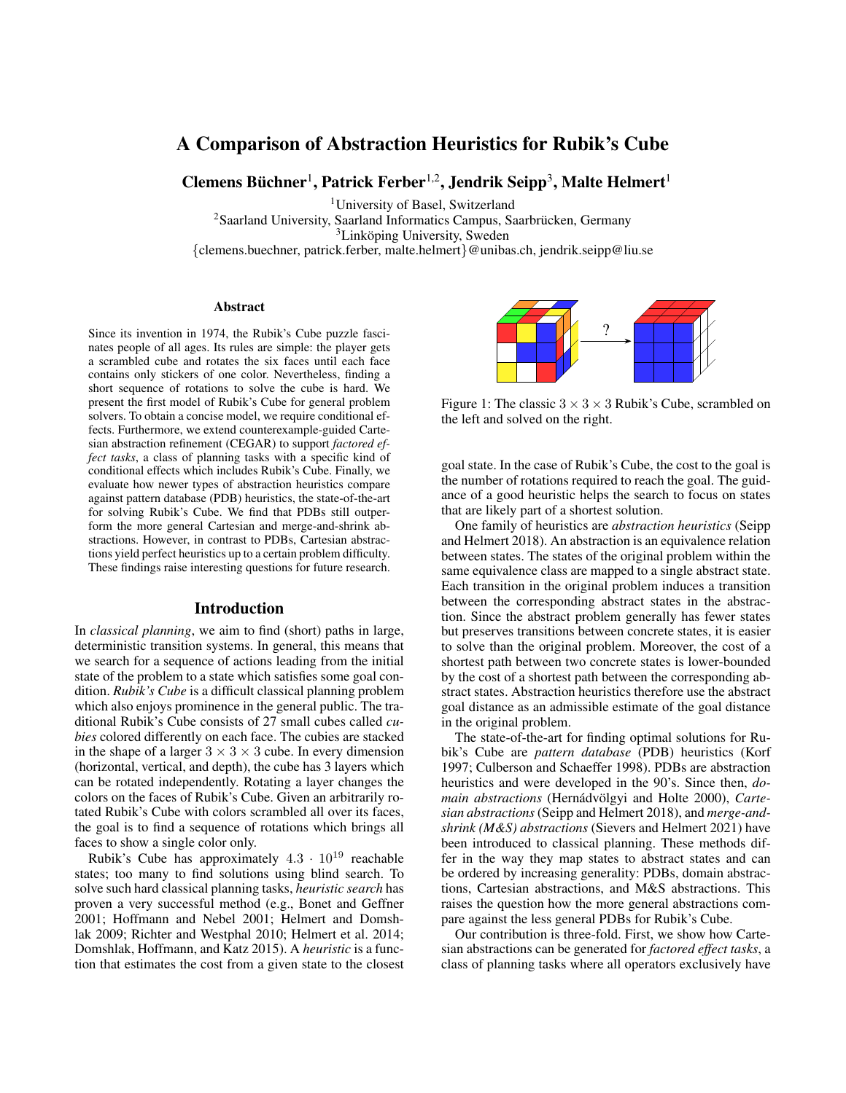# A Comparison of Abstraction Heuristics for Rubik's Cube

Clemens Büchner<sup>1</sup>, Patrick Ferber<sup>1,2</sup>, Jendrik Seipp<sup>3</sup>, Malte Helmert<sup>1</sup>

<sup>1</sup>University of Basel, Switzerland

 $2$ Saarland University, Saarland Informatics Campus, Saarbrücken, Germany

 ${}^{3}$ Linköping University, Sweden

{clemens.buechner, patrick.ferber, malte.helmert}@unibas.ch, jendrik.seipp@liu.se

#### Abstract

Since its invention in 1974, the Rubik's Cube puzzle fascinates people of all ages. Its rules are simple: the player gets a scrambled cube and rotates the six faces until each face contains only stickers of one color. Nevertheless, finding a short sequence of rotations to solve the cube is hard. We present the first model of Rubik's Cube for general problem solvers. To obtain a concise model, we require conditional effects. Furthermore, we extend counterexample-guided Cartesian abstraction refinement (CEGAR) to support *factored effect tasks*, a class of planning tasks with a specific kind of conditional effects which includes Rubik's Cube. Finally, we evaluate how newer types of abstraction heuristics compare against pattern database (PDB) heuristics, the state-of-the-art for solving Rubik's Cube. We find that PDBs still outperform the more general Cartesian and merge-and-shrink abstractions. However, in contrast to PDBs, Cartesian abstractions yield perfect heuristics up to a certain problem difficulty. These findings raise interesting questions for future research.

### Introduction

In *classical planning*, we aim to find (short) paths in large, deterministic transition systems. In general, this means that we search for a sequence of actions leading from the initial state of the problem to a state which satisfies some goal condition. *Rubik's Cube* is a difficult classical planning problem which also enjoys prominence in the general public. The traditional Rubik's Cube consists of 27 small cubes called *cubies* colored differently on each face. The cubies are stacked in the shape of a larger  $3 \times 3 \times 3$  cube. In every dimension (horizontal, vertical, and depth), the cube has 3 layers which can be rotated independently. Rotating a layer changes the colors on the faces of Rubik's Cube. Given an arbitrarily rotated Rubik's Cube with colors scrambled all over its faces, the goal is to find a sequence of rotations which brings all faces to show a single color only.

Rubik's Cube has approximately  $4.3 \cdot 10^{19}$  reachable states; too many to find solutions using blind search. To solve such hard classical planning tasks, *heuristic search* has proven a very successful method (e.g., Bonet and Geffner 2001; Hoffmann and Nebel 2001; Helmert and Domshlak 2009; Richter and Westphal 2010; Helmert et al. 2014; Domshlak, Hoffmann, and Katz 2015). A *heuristic* is a function that estimates the cost from a given state to the closest



Figure 1: The classic  $3 \times 3 \times 3$  Rubik's Cube, scrambled on the left and solved on the right.

goal state. In the case of Rubik's Cube, the cost to the goal is the number of rotations required to reach the goal. The guidance of a good heuristic helps the search to focus on states that are likely part of a shortest solution.

One family of heuristics are *abstraction heuristics* (Seipp and Helmert 2018). An abstraction is an equivalence relation between states. The states of the original problem within the same equivalence class are mapped to a single abstract state. Each transition in the original problem induces a transition between the corresponding abstract states in the abstraction. Since the abstract problem generally has fewer states but preserves transitions between concrete states, it is easier to solve than the original problem. Moreover, the cost of a shortest path between two concrete states is lower-bounded by the cost of a shortest path between the corresponding abstract states. Abstraction heuristics therefore use the abstract goal distance as an admissible estimate of the goal distance in the original problem.

The state-of-the-art for finding optimal solutions for Rubik's Cube are *pattern database* (PDB) heuristics (Korf 1997; Culberson and Schaeffer 1998). PDBs are abstraction heuristics and were developed in the 90's. Since then, *domain abstractions* (Hernádvölgyi and Holte 2000), Carte*sian abstractions* (Seipp and Helmert 2018), and *merge-andshrink (M&S) abstractions* (Sievers and Helmert 2021) have been introduced to classical planning. These methods differ in the way they map states to abstract states and can be ordered by increasing generality: PDBs, domain abstractions, Cartesian abstractions, and M&S abstractions. This raises the question how the more general abstractions compare against the less general PDBs for Rubik's Cube.

Our contribution is three-fold. First, we show how Cartesian abstractions can be generated for *factored effect tasks*, a class of planning tasks where all operators exclusively have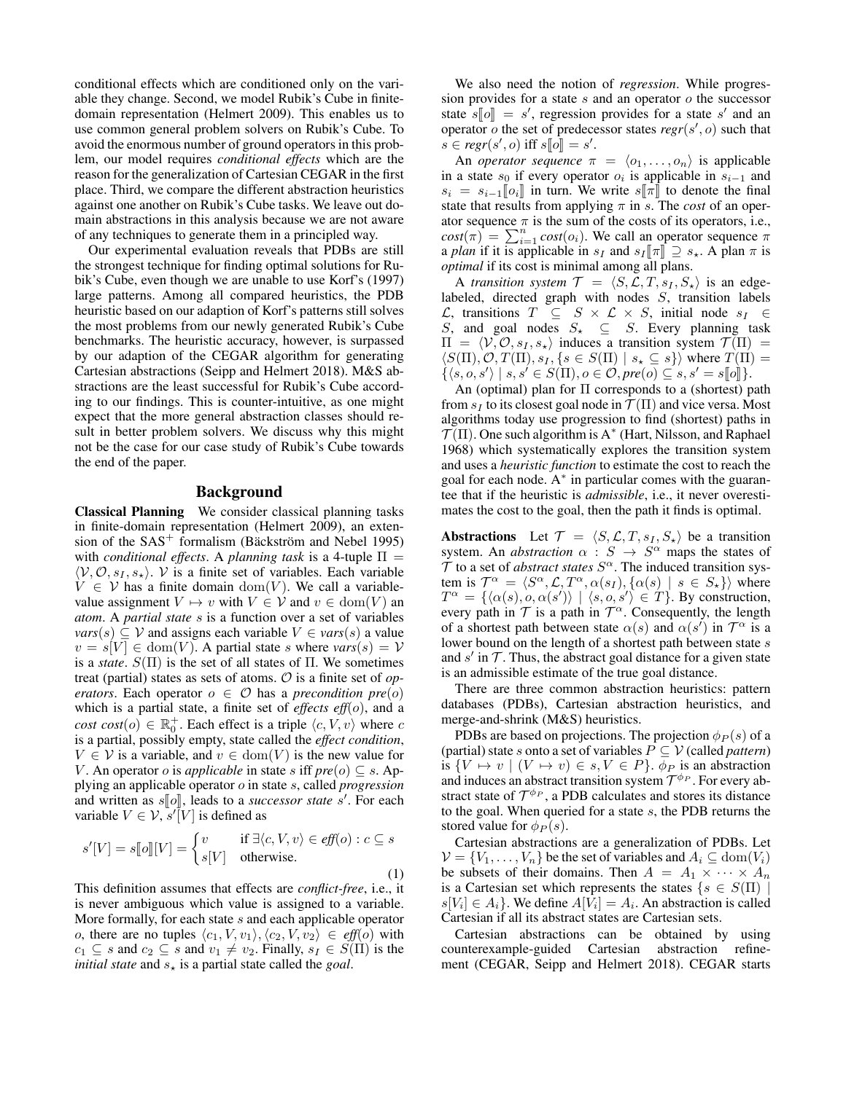conditional effects which are conditioned only on the variable they change. Second, we model Rubik's Cube in finitedomain representation (Helmert 2009). This enables us to use common general problem solvers on Rubik's Cube. To avoid the enormous number of ground operators in this problem, our model requires *conditional effects* which are the reason for the generalization of Cartesian CEGAR in the first place. Third, we compare the different abstraction heuristics against one another on Rubik's Cube tasks. We leave out domain abstractions in this analysis because we are not aware of any techniques to generate them in a principled way.

Our experimental evaluation reveals that PDBs are still the strongest technique for finding optimal solutions for Rubik's Cube, even though we are unable to use Korf's (1997) large patterns. Among all compared heuristics, the PDB heuristic based on our adaption of Korf's patterns still solves the most problems from our newly generated Rubik's Cube benchmarks. The heuristic accuracy, however, is surpassed by our adaption of the CEGAR algorithm for generating Cartesian abstractions (Seipp and Helmert 2018). M&S abstractions are the least successful for Rubik's Cube according to our findings. This is counter-intuitive, as one might expect that the more general abstraction classes should result in better problem solvers. We discuss why this might not be the case for our case study of Rubik's Cube towards the end of the paper.

### Background

Classical Planning We consider classical planning tasks in finite-domain representation (Helmert 2009), an extension of the  $SAS^+$  formalism (Bäckström and Nebel 1995) with *conditional effects*. A *planning task* is a 4-tuple  $\Pi$  =  $\langle V, O, s_1, s_* \rangle$ . V is a finite set of variables. Each variable  $V \in V$  has a finite domain  $dom(V)$ . We call a variablevalue assignment  $V \mapsto v$  with  $V \in V$  and  $v \in \text{dom}(V)$  and *atom*. A *partial state* s is a function over a set of variables  $vars(s) \subseteq V$  and assigns each variable  $V \in vars(s)$  a value  $v = s[V] \in \text{dom}(V)$ . A partial state s where  $vars(s) = V$ is a *state*.  $S(\Pi)$  is the set of all states of  $\Pi$ . We sometimes treat (partial) states as sets of atoms. O is a finite set of *operators*. Each operator  $o \in \mathcal{O}$  has a *precondition pre*(*o*) which is a partial state, a finite set of *effects eff*(o), and a  $cost\left(o\right) \in \mathbb{R}_{0}^{+}$ . Each effect is a triple  $\langle c, V, v \rangle$  where c is a partial, possibly empty, state called the *effect condition*,  $V \in V$  is a variable, and  $v \in \text{dom}(V)$  is the new value for V. An operator *o* is *applicable* in state *s* iff  $pre(o) \subseteq s$ . Applying an applicable operator o in state s, called *progression* and written as  $s[[o]]$ , leads to a *successor state*  $s'$ . For each variable  $V \in \mathcal{V}$   $s'[V]$  is defined as variable  $V \in \mathcal{V}$ ,  $s'[\overline{V}]$  is defined as

$$
s'[V] = s[\![o]\!][V] = \begin{cases} v & \text{if } \exists \langle c, V, v \rangle \in \text{eff}(o) : c \subseteq s \\ s[V] & \text{otherwise.} \end{cases} \tag{1}
$$

This definition assumes that effects are *conflict-free*, i.e., it is never ambiguous which value is assigned to a variable. More formally, for each state s and each applicable operator o, there are no tuples  $\langle c_1, V, v_1 \rangle, \langle c_2, V, v_2 \rangle \in eff(o)$  with  $c_1 \subseteq s$  and  $c_2 \subseteq s$  and  $v_1 \neq v_2$ . Finally,  $s_I \in S(\Pi)$  is the *initial state* and  $s_{\star}$  is a partial state called the *goal*.

We also need the notion of *regression*. While progression provides for a state  $s$  and an operator  $o$  the successor state  $s[\![o]\!] = s'$ , regression provides for a state s' and an operator  $\alpha$  the set of predecessor states *regr*(s'  $\alpha$ ) such that operator  $o$  the set of predecessor states  $regr(s', o)$  such that  $s \in \text{regr}(s', o) \text{ iff } s[\![o]\!] = s'.$ 

An *operator sequence*  $\pi = \langle o_1, \ldots, o_n \rangle$  is applicable in a state  $s_0$  if every operator  $o_i$  is applicable in  $s_{i-1}$  and  $s_i = s_{i-1} \llbracket o_i \rrbracket$  in turn. We write s $\llbracket \pi \rrbracket$  to denote the final state that results from applying  $\pi$  in s. The *cost* of an operator sequence  $\pi$  is the sum of the costs of its operators, i.e.,  $cost(\pi) = \sum_{i=1}^{n} cost(o_i)$ . We call an operator sequence  $\pi$ a *plan* if it is applicable in  $s_I$  and  $s_I[\![\pi]\!] \supseteq s_{\star}$ . A plan  $\pi$  is *optimal* if its cost is minimal among all plans.

A *transition system*  $\mathcal{T} = \langle S, \mathcal{L}, T, s_I, S_{\star} \rangle$  is an edgelabeled, directed graph with nodes  $S$ , transition labels  $\mathcal{L}$ , transitions  $T \subseteq S \times \mathcal{L} \times S$ , initial node  $s_I \in$ S, and goal nodes  $S_{\star} \subseteq S$ . Every planning task  $\Pi = \langle V, O, s_I, s_* \rangle$  induces a transition system  $\mathcal{T}(\Pi) =$  $\langle S(\Pi), \mathcal{O}, T(\Pi), s_I, \{s \in S(\Pi) \mid s_{\star} \subseteq s\} \rangle$  where  $T(\Pi) =$  $\{\langle s, o, s' \rangle \mid s, s' \in S(\Pi), o \in \mathcal{O}, pre(o) \subseteq s, s' = s[\![o]\!]\}.$ <br>An (optimal) plan for  $\Pi$  corresponds to a (shortest) p

An (optimal) plan for  $\Pi$  corresponds to a (shortest) path from  $s_I$  to its closest goal node in  $\mathcal{T}(\Pi)$  and vice versa. Most algorithms today use progression to find (shortest) paths in  $\mathcal{T}(\Pi)$ . One such algorithm is A<sup>\*</sup> (Hart, Nilsson, and Raphael 1968) which systematically explores the transition system and uses a *heuristic function* to estimate the cost to reach the goal for each node. A<sup>\*</sup> in particular comes with the guarantee that if the heuristic is *admissible*, i.e., it never overestimates the cost to the goal, then the path it finds is optimal.

Abstractions Let  $\mathcal{T} = \langle S, \mathcal{L}, T, s_I, S_{\star} \rangle$  be a transition system. An *abstraction*  $\alpha : S \to S^{\alpha}$  maps the states of  $\mathcal T$  to a set of *abstract states*  $S^{\alpha}$ . The induced transition system is  $\mathcal{T}^{\alpha} = \langle S^{\alpha}, \mathcal{L}, T^{\alpha}, \alpha(s_I), \{\alpha(s) | s \in S_{\star}\}\rangle$  where  $T^{\alpha} = {\alpha(s), o, \alpha(s')} \mid \langle s, o, s' \rangle \in T$ . By construction, every path in  $\mathcal T$  is a path in  $\mathcal T^{\alpha}$ . Consequently, the length of a shortest path between state  $\alpha(s)$  and  $\alpha(s')$  in  $\mathcal{T}^{\alpha}$  is a lower bound on the length of a shortest path between state s and  $s'$  in  $T$ . Thus, the abstract goal distance for a given state is an admissible estimate of the true goal distance.

There are three common abstraction heuristics: pattern databases (PDBs), Cartesian abstraction heuristics, and merge-and-shrink (M&S) heuristics.

PDBs are based on projections. The projection  $\phi_P(s)$  of a (partial) state s onto a set of variables  $P \subseteq V$  (called *pattern*) is  $\{V \mapsto v \mid (V \mapsto v) \in s, V \in P\}$ .  $\phi_P$  is an abstraction and induces an abstract transition system  $\mathcal{T}^{\phi_P}$ . For every abstract state of  $\mathcal{T}^{\phi_P}$ , a PDB calculates and stores its distance to the goal. When queried for a state s, the PDB returns the stored value for  $\phi_P(s)$ .

Cartesian abstractions are a generalization of PDBs. Let  $V = \{V_1, \ldots, V_n\}$  be the set of variables and  $A_i \subseteq \text{dom}(V_i)$ be subsets of their domains. Then  $A = A_1 \times \cdots \times A_n$ is a Cartesian set which represents the states  $\{s \in S(\Pi)\}$  $s[V_i] \in A_i$ . We define  $A[V_i] = A_i$ . An abstraction is called Cartesian if all its abstract states are Cartesian sets.

Cartesian abstractions can be obtained by using counterexample-guided Cartesian abstraction refinement (CEGAR, Seipp and Helmert 2018). CEGAR starts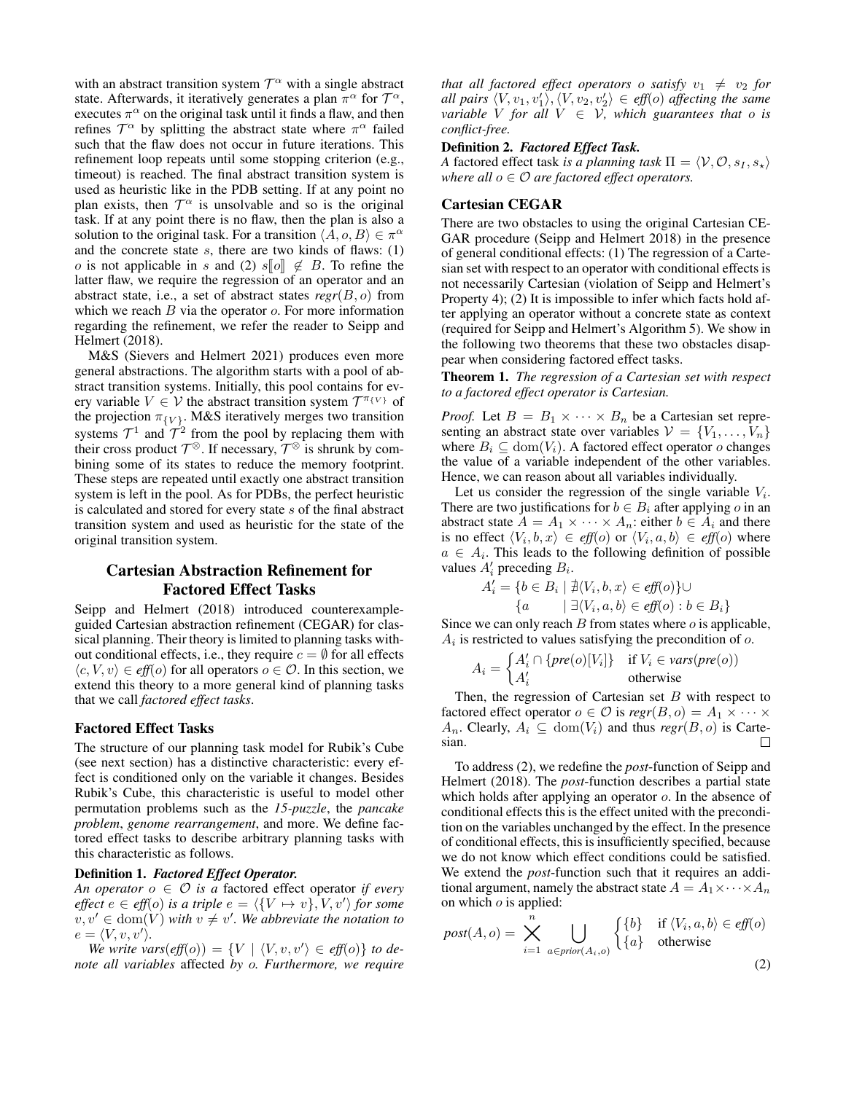with an abstract transition system  $T^{\alpha}$  with a single abstract state. Afterwards, it iteratively generates a plan  $\pi^{\alpha}$  for  $\mathcal{T}^{\alpha}$ , executes  $\pi^{\alpha}$  on the original task until it finds a flaw, and then refines  $T^{\alpha}$  by splitting the abstract state where  $\pi^{\alpha}$  failed such that the flaw does not occur in future iterations. This refinement loop repeats until some stopping criterion (e.g., timeout) is reached. The final abstract transition system is used as heuristic like in the PDB setting. If at any point no plan exists, then  $\mathcal{T}^{\alpha}$  is unsolvable and so is the original task. If at any point there is no flaw, then the plan is also a solution to the original task. For a transition  $\langle \hat{A}, o, B \rangle \in \pi^{\alpha}$ and the concrete state  $s$ , there are two kinds of flaws: (1) o is not applicable in s and (2) s $\llbracket o \rrbracket \notin B$ . To refine the latter flaw, we require the regression of an operator and an abstract state, i.e., a set of abstract states  $regr(B, o)$  from which we reach  $B$  via the operator  $o$ . For more information regarding the refinement, we refer the reader to Seipp and Helmert (2018).

M&S (Sievers and Helmert 2021) produces even more general abstractions. The algorithm starts with a pool of abstract transition systems. Initially, this pool contains for every variable  $V \in V$  the abstract transition system  $\mathcal{T}^{\pi_{\{V\}}}$  of the projection  $\pi_{\{V\}}$ . M&S iteratively merges two transition systems  $\mathcal{T}^1$  and  $\mathcal{T}^2$  from the pool by replacing them with their cross product  $\mathcal{T}^{\otimes}$ . If necessary,  $\mathcal{T}^{\otimes}$  is shrunk by combining some of its states to reduce the memory footprint. These steps are repeated until exactly one abstract transition system is left in the pool. As for PDBs, the perfect heuristic is calculated and stored for every state s of the final abstract transition system and used as heuristic for the state of the original transition system.

# Cartesian Abstraction Refinement for Factored Effect Tasks

Seipp and Helmert (2018) introduced counterexampleguided Cartesian abstraction refinement (CEGAR) for classical planning. Their theory is limited to planning tasks without conditional effects, i.e., they require  $c = \emptyset$  for all effects  $\langle c, V, v \rangle \in \text{eff}(o)$  for all operators  $o \in \mathcal{O}$ . In this section, we extend this theory to a more general kind of planning tasks that we call *factored effect tasks*.

### Factored Effect Tasks

The structure of our planning task model for Rubik's Cube (see next section) has a distinctive characteristic: every effect is conditioned only on the variable it changes. Besides Rubik's Cube, this characteristic is useful to model other permutation problems such as the *15-puzzle*, the *pancake problem*, *genome rearrangement*, and more. We define factored effect tasks to describe arbitrary planning tasks with this characteristic as follows.

#### Definition 1. *Factored Effect Operator.*

*An operator*  $o \in \mathcal{O}$  *is a* factored effect operator *if every effect*  $e \in \text{eff}(o)$  *is a triple*  $e = \langle \{V \mapsto v\}, V, v' \rangle$  *for some*  $v, v' \in \text{dom}(V)$  with  $v \neq v'$ . We abbreviate the notation to  $e = \langle V, v, v' \rangle.$ 

We write vars $\left(\text{eff}(o)\right) = \{V \mid \langle V, v, v' \rangle \in \text{eff}(o)\}\$  to de*note all variables* affected *by* o*. Furthermore, we require* *that all factored effect operators o satisfy*  $v_1 \neq v_2$  *for all pairs*  $\langle V, v_1, v'_1 \rangle, \langle V, v_2, v'_2 \rangle \in \text{eff}(o)$  affecting the same *variable V for all*  $V \in V$ *, which guarantees that o is conflict-free.*

### Definition 2. *Factored Effect Task.*

*A* factored effect task *is a planning task*  $\Pi = \langle V, O, s_I, s_* \rangle$ *where all*  $o \in \mathcal{O}$  *are factored effect operators.* 

## Cartesian CEGAR

There are two obstacles to using the original Cartesian CE-GAR procedure (Seipp and Helmert 2018) in the presence of general conditional effects: (1) The regression of a Cartesian set with respect to an operator with conditional effects is not necessarily Cartesian (violation of Seipp and Helmert's Property 4); (2) It is impossible to infer which facts hold after applying an operator without a concrete state as context (required for Seipp and Helmert's Algorithm 5). We show in the following two theorems that these two obstacles disappear when considering factored effect tasks.

Theorem 1. *The regression of a Cartesian set with respect to a factored effect operator is Cartesian.*

*Proof.* Let  $B = B_1 \times \cdots \times B_n$  be a Cartesian set representing an abstract state over variables  $V = \{V_1, \ldots, V_n\}$ where  $B_i \subseteq \text{dom}(V_i)$ . A factored effect operator o changes the value of a variable independent of the other variables. Hence, we can reason about all variables individually.

Let us consider the regression of the single variable  $V_i$ . There are two justifications for  $b \in B_i$  after applying o in an abstract state  $A = A_1 \times \cdots \times A_n$ : either  $b \in A_i$  and there is no effect  $\langle V_i, b, x \rangle \in \text{eff}(o)$  or  $\langle V_i, a, b \rangle \in \text{eff}(o)$  where  $a \in A_i$ . This leads to the following definition of possible values  $A'_i$  preceding  $B_i$ .

$$
A'_{i} = \{b \in B_{i} \mid \nexists \langle V_{i}, b, x \rangle \in \text{eff}(o)\} \cup
$$

$$
\{a \mid \exists \langle V_{i}, a, b \rangle \in \text{eff}(o) : b \in B_{i}\}\
$$

Since we can only reach  $B$  from states where  $o$  is applicable,  $A_i$  is restricted to values satisfying the precondition of  $o$ .

$$
A_i = \begin{cases} A'_i \cap \{ pre(o)[V_i] \} & \text{if } V_i \in vars(pre(o)) \\ A'_i & \text{otherwise} \end{cases}
$$

Then, the regression of Cartesian set  $B$  with respect to factored effect operator  $o \in \mathcal{O}$  is  $regr(B, o) = A_1 \times \cdots \times$  $A_n$ . Clearly,  $A_i \subseteq \text{dom}(V_i)$  and thus  $regr(B, o)$  is Cartesian.  $\Box$ 

To address (2), we redefine the *post*-function of Seipp and Helmert (2018). The *post*-function describes a partial state which holds after applying an operator  $o$ . In the absence of conditional effects this is the effect united with the precondition on the variables unchanged by the effect. In the presence of conditional effects, this is insufficiently specified, because we do not know which effect conditions could be satisfied. We extend the *post*-function such that it requires an additional argument, namely the abstract state  $A = A_1 \times \cdots \times A_n$ on which  $o$  is applied:

$$
post(A, o) = \sum_{i=1}^{n} \bigcup_{a \in prior(A_i, o)} \begin{cases} \{b\} & \text{if } \langle V_i, a, b \rangle \in \text{eff}(o) \\ \{a\} & \text{otherwise} \end{cases}
$$
(2)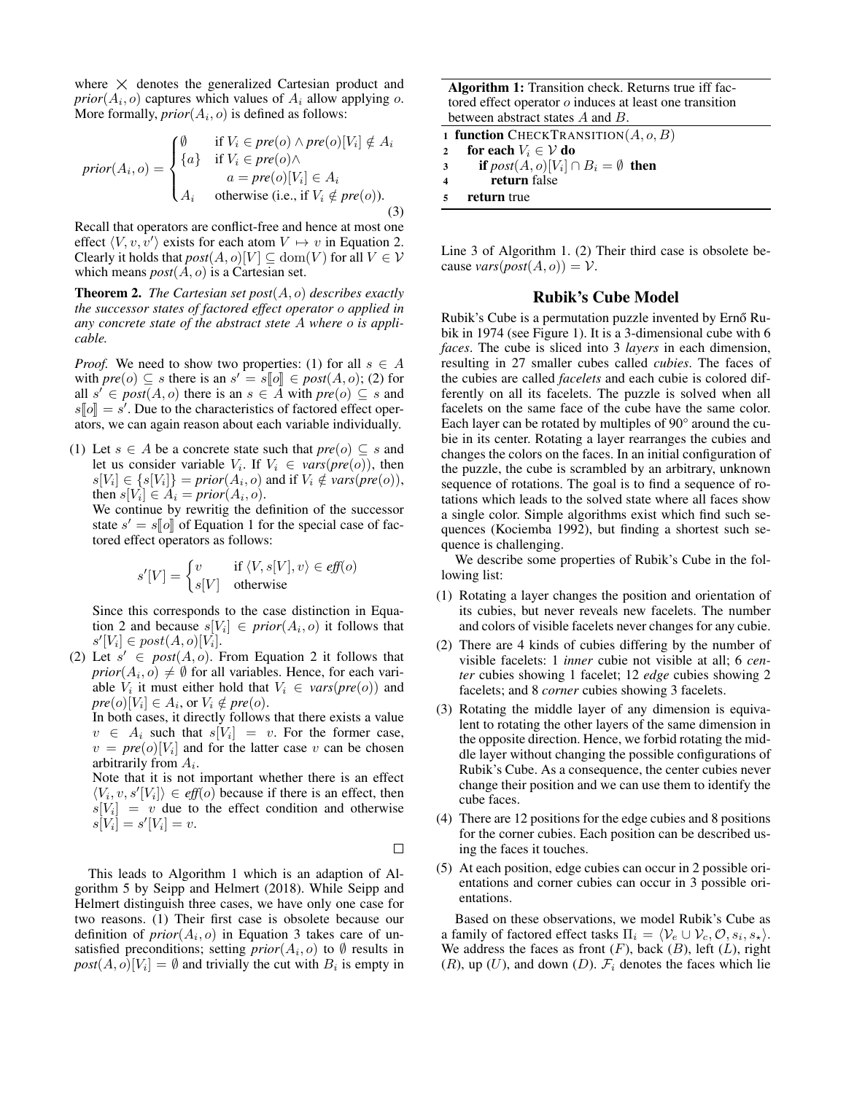where  $\times$  denotes the generalized Cartesian product and  $prior(A_i, o)$  captures which values of  $A_i$  allow applying o. More formally,  $prior(A_i, o)$  is defined as follows:

$$
prior(A_i, o) = \begin{cases} \emptyset & \text{if } V_i \in pre(o) \land pre(o)[V_i] \notin A_i \\ \{a\} & \text{if } V_i \in pre(o) \land \\ a = pre(o)[V_i] \in A_i \\ A_i & \text{otherwise (i.e., if } V_i \notin pre(o)). \end{cases}
$$
\n(3)

Recall that operators are conflict-free and hence at most one effect  $\langle V, v, v' \rangle$  exists for each atom  $V \mapsto v$  in Equation 2. Clearly it holds that  $post(A, o)[V] \subseteq dom(V)$  for all  $V \in V$ which means *post*(A, o) is a Cartesian set.

Theorem 2. *The Cartesian set post*(A, o) *describes exactly the successor states of factored effect operator* o *applied in any concrete state of the abstract stete* A *where* o *is applicable.*

*Proof.* We need to show two properties: (1) for all  $s \in A$ with  $pre(o) \subseteq s$  there is an  $s' = s[[o]] \in post(A, o);$  (2) for all  $s' \in post(A, o)$  there is an  $s \in A$  with  $pre(o) \subseteq s$  and all  $s' \in post(A, o)$  there is an  $s \in A$  with  $pre(o) \subseteq s$  and  $s[\![o]\!] = s'.$  Due to the characteristics of factored effect oper-<br>ators, we can again reason about each variable individually ators, we can again reason about each variable individually.

(1) Let  $s \in A$  be a concrete state such that  $pre(o) \subseteq s$  and let us consider variable  $V_i$ . If  $V_i \in vars(pre(o))$ , then  $s[V_i] \in \{s[V_i]\} = prior(A_i, o)$  and if  $V_i \notin vars(pre(o)),$ then  $s[V_i] \in A_i = prior(A_i, o)$ .

We continue by rewritig the definition of the successor state  $s' = s[\![o]\!]$  of Equation 1 for the special case of fac-<br>tored effect operators as follows: tored effect operators as follows:

$$
s'[V] = \begin{cases} v & \text{if } \langle V, s[V], v \rangle \in \text{eff}(o) \\ s[V] & \text{otherwise} \end{cases}
$$

Since this corresponds to the case distinction in Equation 2 and because  $s[V_i] \in prior(A_i, o)$  it follows that  $s'[V_i] \in post(A, o)[V_i].$ 

(2) Let  $s' \in post(A, o)$ . From Equation 2 it follows that  $prior(A_i, o) \neq \emptyset$  for all variables. Hence, for each variable  $V_i$  it must either hold that  $V_i \in vars(pre(o))$  and  $pre(o)[V_i] \in A_i$ , or  $V_i \notin pre(o)$ .

In both cases, it directly follows that there exists a value  $v \in A_i$  such that  $s[V_i] = v$ . For the former case,  $v = pre(o)[V_i]$  and for the latter case v can be chosen arbitrarily from  $A_i$ .

Note that it is not important whether there is an effect  $\langle V_i, v, s'[V_i] \rangle \in \text{eff}(o)$  because if there is an effect, then  $s[V_i] = v$  due to the effect condition and otherwise  $s[V_i] = s'[V_i] = v.$ 

 $\Box$ 

This leads to Algorithm 1 which is an adaption of Algorithm 5 by Seipp and Helmert (2018). While Seipp and Helmert distinguish three cases, we have only one case for two reasons. (1) Their first case is obsolete because our definition of  $prior(A_i, o)$  in Equation 3 takes care of unsatisfied preconditions; setting  $prior(A_i, o)$  to  $\emptyset$  results in  $post(A, o)[V_i] = \emptyset$  and trivially the cut with  $B_i$  is empty in

Algorithm 1: Transition check. Returns true iff factored effect operator o induces at least one transition between abstract states A and B.

1 function CHECKTRANSITION $(A, o, B)$ 

2 for each  $V_i \in \mathcal{V}$  do

- 3 if  $post(A, o)[V_i] \cap B_i = \emptyset$  then
- <sup>4</sup> return false

Line 3 of Algorithm 1. (2) Their third case is obsolete because *vars* $(post(A, o)) = V$ .

### Rubik's Cube Model

Rubik's Cube is a permutation puzzle invented by Ernő Rubik in 1974 (see Figure 1). It is a 3-dimensional cube with 6 *faces*. The cube is sliced into 3 *layers* in each dimension, resulting in 27 smaller cubes called *cubies*. The faces of the cubies are called *facelets* and each cubie is colored differently on all its facelets. The puzzle is solved when all facelets on the same face of the cube have the same color. Each layer can be rotated by multiples of 90° around the cubie in its center. Rotating a layer rearranges the cubies and changes the colors on the faces. In an initial configuration of the puzzle, the cube is scrambled by an arbitrary, unknown sequence of rotations. The goal is to find a sequence of rotations which leads to the solved state where all faces show a single color. Simple algorithms exist which find such sequences (Kociemba 1992), but finding a shortest such sequence is challenging.

We describe some properties of Rubik's Cube in the following list:

- (1) Rotating a layer changes the position and orientation of its cubies, but never reveals new facelets. The number and colors of visible facelets never changes for any cubie.
- (2) There are 4 kinds of cubies differing by the number of visible facelets: 1 *inner* cubie not visible at all; 6 *center* cubies showing 1 facelet; 12 *edge* cubies showing 2 facelets; and 8 *corner* cubies showing 3 facelets.
- (3) Rotating the middle layer of any dimension is equivalent to rotating the other layers of the same dimension in the opposite direction. Hence, we forbid rotating the middle layer without changing the possible configurations of Rubik's Cube. As a consequence, the center cubies never change their position and we can use them to identify the cube faces.
- (4) There are 12 positions for the edge cubies and 8 positions for the corner cubies. Each position can be described using the faces it touches.
- (5) At each position, edge cubies can occur in 2 possible orientations and corner cubies can occur in 3 possible orientations.

Based on these observations, we model Rubik's Cube as a family of factored effect tasks  $\Pi_i = \langle \mathcal{V}_e \cup \mathcal{V}_c, \mathcal{O}, s_i, s_\star \rangle$ . We address the faces as front  $(F)$ , back  $(B)$ , left  $(L)$ , right  $(R)$ , up  $(U)$ , and down  $(D)$ .  $\mathcal{F}_i$  denotes the faces which lie

<sup>5</sup> return true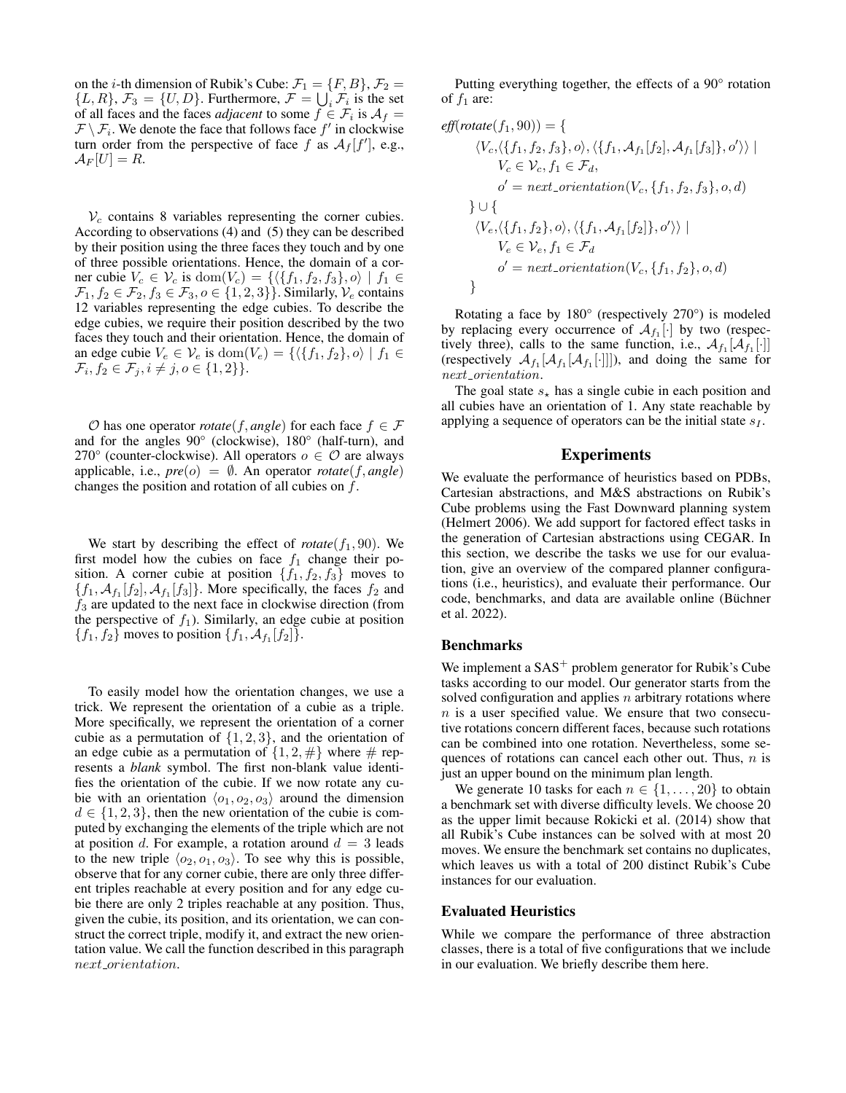on the *i*-th dimension of Rubik's Cube:  $\mathcal{F}_1 = \{F, B\}, \mathcal{F}_2 =$  $\{L, R\}, \mathcal{F}_3 = \{U, D\}.$  Furthermore,  $\mathcal{F} = \bigcup_i \mathcal{F}_i$  is the set of all faces and the faces *adjacent* to some  $f \in \mathcal{F}_i$  is  $\mathcal{A}_f =$  $\mathcal{F} \setminus \mathcal{F}_i$ . We denote the face that follows face  $f'$  in clockwise turn order from the perspective of face f as  $A_f[f']$ , e.g.,  $\mathcal{A}_F[U]=R.$ 

 $V_c$  contains 8 variables representing the corner cubies. According to observations (4) and (5) they can be described by their position using the three faces they touch and by one of three possible orientations. Hence, the domain of a corner cubie  $V_c \in \mathcal{V}_c$  is  $\text{dom}(V_c) = \{ \langle \{f_1, f_2, f_3\}, o \rangle \mid f_1 \in$  $\mathcal{F}_1, f_2 \in \mathcal{F}_2, f_3 \in \mathcal{F}_3, o \in \{1, 2, 3\}$ . Similarly,  $\mathcal{V}_e$  contains 12 variables representing the edge cubies. To describe the edge cubies, we require their position described by the two faces they touch and their orientation. Hence, the domain of an edge cubie  $V_e \in \mathcal{V}_e$  is  $\text{dom}(V_e) = \{ \langle \{f_1, f_2\}, o \rangle \mid f_1 \in$  $\mathcal{F}_i, f_2 \in \mathcal{F}_j, i \neq j, o \in \{1, 2\} \}.$ 

 $O$  has one operator *rotate*(*f*, *angle*) for each face  $f \in F$ and for the angles 90° (clockwise), 180° (half-turn), and 270° (counter-clockwise). All operators  $o \in \mathcal{O}$  are always applicable, i.e.,  $pre(o) = \emptyset$ . An operator *rotate*(*f*, *angle*) changes the position and rotation of all cubies on  $f$ .

We start by describing the effect of  $rotate(f_1, 90)$ . We first model how the cubies on face  $f_1$  change their position. A corner cubie at position  $\{f_1, f_2, f_3\}$  moves to  $\{f_1, \mathcal{A}_{f_1}[f_2], \mathcal{A}_{f_1}[f_3]\}.$  More specifically, the faces  $f_2$  and  $f_3$  are updated to the next face in clockwise direction (from the perspective of  $f_1$ ). Similarly, an edge cubie at position  ${f_1, f_2}$  moves to position  ${f_1, A_{f_1}[f_2]}$ .

To easily model how the orientation changes, we use a trick. We represent the orientation of a cubie as a triple. More specifically, we represent the orientation of a corner cubie as a permutation of  $\{1, 2, 3\}$ , and the orientation of an edge cubie as a permutation of  $\{1, 2, \#\}$  where  $\#$  represents a *blank* symbol. The first non-blank value identifies the orientation of the cubie. If we now rotate any cubie with an orientation  $\langle o_1, o_2, o_3 \rangle$  around the dimension  $d \in \{1, 2, 3\}$ , then the new orientation of the cubie is computed by exchanging the elements of the triple which are not at position d. For example, a rotation around  $d = 3$  leads to the new triple  $\langle o_2, o_1, o_3 \rangle$ . To see why this is possible, observe that for any corner cubie, there are only three different triples reachable at every position and for any edge cubie there are only 2 triples reachable at any position. Thus, given the cubie, its position, and its orientation, we can construct the correct triple, modify it, and extract the new orientation value. We call the function described in this paragraph  $next\_orientation$ .

Putting everything together, the effects of a 90° rotation of  $f_1$  are:

$$
eff(rotate(f_1, 90)) = \{ \n\langle V_c, \langle \{f_1, f_2, f_3\}, o \rangle, \langle \{f_1, A_{f_1}[f_2], A_{f_1}[f_3]\}, o' \rangle \rangle \mid \nV_c \in \mathcal{V}_c, f_1 \in \mathcal{F}_d, \n o' = next-orientation(V_c, \{f_1, f_2, f_3\}, o, d) \} \cup \{ \n\langle V_e, \langle \{f_1, f_2\}, o \rangle, \langle \{f_1, A_{f_1}[f_2]\}, o' \rangle \rangle \mid \nV_e \in \mathcal{V}_e, f_1 \in \mathcal{F}_d \n o' = next-orientation(V_c, \{f_1, f_2\}, o, d)
$$

Rotating a face by 180° (respectively 270°) is modeled by replacing every occurrence of  $\mathcal{A}_{f_1}[\cdot]$  by two (respectively three), calls to the same function, i.e.,  $\mathcal{A}_{f_1}[\mathcal{A}_{f_1}[\cdot]]$ (respectively  $\mathcal{A}_{f_1}[\mathcal{A}_{f_1}[\mathcal{A}_{f_1}[\cdot]]]$ ), and doing the same for  $next\_orientation.$ 

The goal state  $s_{\star}$  has a single cubie in each position and all cubies have an orientation of 1. Any state reachable by applying a sequence of operators can be the initial state  $s_I$ .

### Experiments

We evaluate the performance of heuristics based on PDBs, Cartesian abstractions, and M&S abstractions on Rubik's Cube problems using the Fast Downward planning system (Helmert 2006). We add support for factored effect tasks in the generation of Cartesian abstractions using CEGAR. In this section, we describe the tasks we use for our evaluation, give an overview of the compared planner configurations (i.e., heuristics), and evaluate their performance. Our code, benchmarks, and data are available online (Büchner et al. 2022).

### Benchmarks

We implement a  $SAS^+$  problem generator for Rubik's Cube tasks according to our model. Our generator starts from the solved configuration and applies  $n$  arbitrary rotations where  $n$  is a user specified value. We ensure that two consecutive rotations concern different faces, because such rotations can be combined into one rotation. Nevertheless, some sequences of rotations can cancel each other out. Thus,  $n$  is just an upper bound on the minimum plan length.

We generate 10 tasks for each  $n \in \{1, \ldots, 20\}$  to obtain a benchmark set with diverse difficulty levels. We choose 20 as the upper limit because Rokicki et al. (2014) show that all Rubik's Cube instances can be solved with at most 20 moves. We ensure the benchmark set contains no duplicates, which leaves us with a total of 200 distinct Rubik's Cube instances for our evaluation.

### Evaluated Heuristics

While we compare the performance of three abstraction classes, there is a total of five configurations that we include in our evaluation. We briefly describe them here.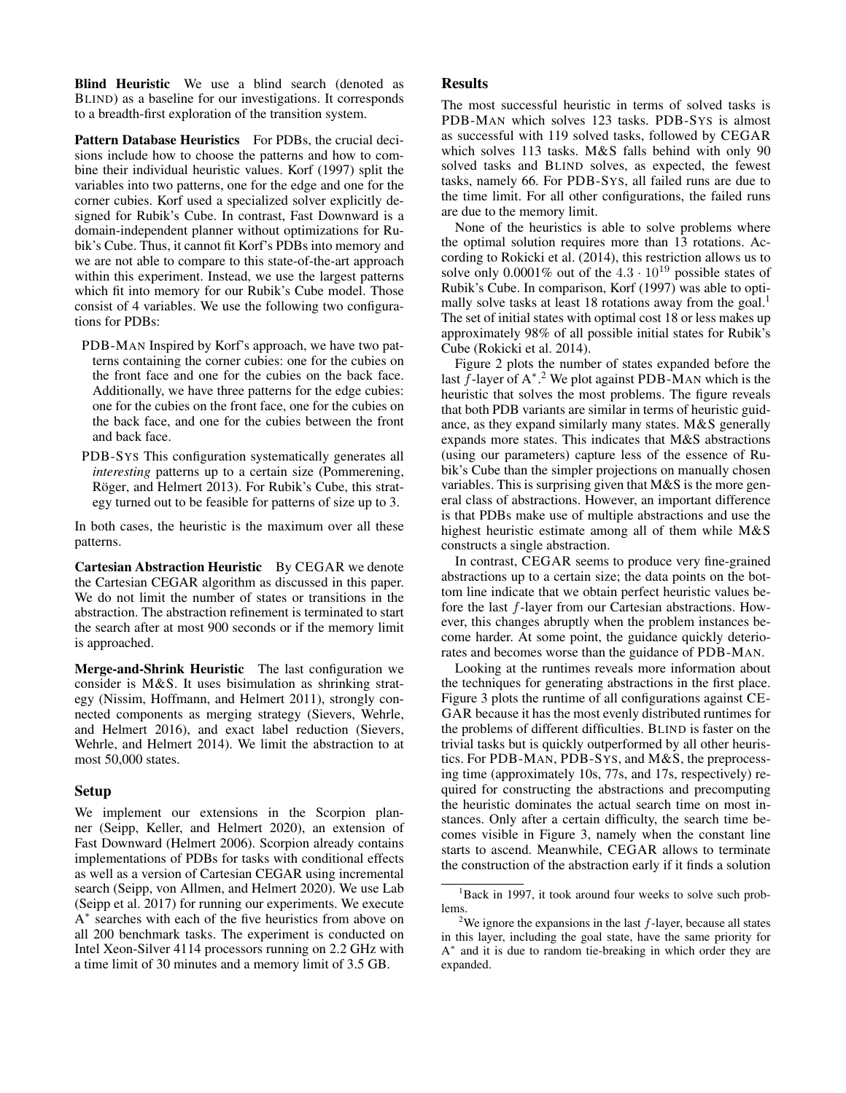Blind Heuristic We use a blind search (denoted as BLIND) as a baseline for our investigations. It corresponds to a breadth-first exploration of the transition system.

Pattern Database Heuristics For PDBs, the crucial decisions include how to choose the patterns and how to combine their individual heuristic values. Korf (1997) split the variables into two patterns, one for the edge and one for the corner cubies. Korf used a specialized solver explicitly designed for Rubik's Cube. In contrast, Fast Downward is a domain-independent planner without optimizations for Rubik's Cube. Thus, it cannot fit Korf's PDBs into memory and we are not able to compare to this state-of-the-art approach within this experiment. Instead, we use the largest patterns which fit into memory for our Rubik's Cube model. Those consist of 4 variables. We use the following two configurations for PDBs:

- PDB-MAN Inspired by Korf's approach, we have two patterns containing the corner cubies: one for the cubies on the front face and one for the cubies on the back face. Additionally, we have three patterns for the edge cubies: one for the cubies on the front face, one for the cubies on the back face, and one for the cubies between the front and back face.
- PDB-SYS This configuration systematically generates all *interesting* patterns up to a certain size (Pommerening, Röger, and Helmert 2013). For Rubik's Cube, this strategy turned out to be feasible for patterns of size up to 3.

In both cases, the heuristic is the maximum over all these patterns.

Cartesian Abstraction Heuristic By CEGAR we denote the Cartesian CEGAR algorithm as discussed in this paper. We do not limit the number of states or transitions in the abstraction. The abstraction refinement is terminated to start the search after at most 900 seconds or if the memory limit is approached.

Merge-and-Shrink Heuristic The last configuration we consider is M&S. It uses bisimulation as shrinking strategy (Nissim, Hoffmann, and Helmert 2011), strongly connected components as merging strategy (Sievers, Wehrle, and Helmert 2016), and exact label reduction (Sievers, Wehrle, and Helmert 2014). We limit the abstraction to at most 50,000 states.

### Setup

We implement our extensions in the Scorpion planner (Seipp, Keller, and Helmert 2020), an extension of Fast Downward (Helmert 2006). Scorpion already contains implementations of PDBs for tasks with conditional effects as well as a version of Cartesian CEGAR using incremental search (Seipp, von Allmen, and Helmert 2020). We use Lab (Seipp et al. 2017) for running our experiments. We execute A<sup>\*</sup> searches with each of the five heuristics from above on all 200 benchmark tasks. The experiment is conducted on Intel Xeon-Silver 4114 processors running on 2.2 GHz with a time limit of 30 minutes and a memory limit of 3.5 GB.

### **Results**

The most successful heuristic in terms of solved tasks is PDB-MAN which solves 123 tasks. PDB-SYS is almost as successful with 119 solved tasks, followed by CEGAR which solves 113 tasks. M&S falls behind with only 90 solved tasks and BLIND solves, as expected, the fewest tasks, namely 66. For PDB-SYS, all failed runs are due to the time limit. For all other configurations, the failed runs are due to the memory limit.

None of the heuristics is able to solve problems where the optimal solution requires more than 13 rotations. According to Rokicki et al. (2014), this restriction allows us to solve only 0.0001% out of the  $4.3 \cdot 10^{19}$  possible states of Rubik's Cube. In comparison, Korf (1997) was able to optimally solve tasks at least 18 rotations away from the goal.<sup>1</sup> The set of initial states with optimal cost 18 or less makes up approximately 98% of all possible initial states for Rubik's Cube (Rokicki et al. 2014).

Figure 2 plots the number of states expanded before the last  $\tilde{f}$ -layer of A<sup>\* 2</sup>. We plot against PDB-MAN which is the heuristic that solves the most problems. The figure reveals that both PDB variants are similar in terms of heuristic guidance, as they expand similarly many states. M&S generally expands more states. This indicates that M&S abstractions (using our parameters) capture less of the essence of Rubik's Cube than the simpler projections on manually chosen variables. This is surprising given that M&S is the more general class of abstractions. However, an important difference is that PDBs make use of multiple abstractions and use the highest heuristic estimate among all of them while M&S constructs a single abstraction.

In contrast, CEGAR seems to produce very fine-grained abstractions up to a certain size; the data points on the bottom line indicate that we obtain perfect heuristic values before the last f-layer from our Cartesian abstractions. However, this changes abruptly when the problem instances become harder. At some point, the guidance quickly deteriorates and becomes worse than the guidance of PDB-MAN.

Looking at the runtimes reveals more information about the techniques for generating abstractions in the first place. Figure 3 plots the runtime of all configurations against CE-GAR because it has the most evenly distributed runtimes for the problems of different difficulties. BLIND is faster on the trivial tasks but is quickly outperformed by all other heuristics. For PDB-MAN, PDB-SYS, and M&S, the preprocessing time (approximately 10s, 77s, and 17s, respectively) required for constructing the abstractions and precomputing the heuristic dominates the actual search time on most instances. Only after a certain difficulty, the search time becomes visible in Figure 3, namely when the constant line starts to ascend. Meanwhile, CEGAR allows to terminate the construction of the abstraction early if it finds a solution

<sup>&</sup>lt;sup>1</sup>Back in 1997, it took around four weeks to solve such problems.

<sup>&</sup>lt;sup>2</sup>We ignore the expansions in the last  $f$ -layer, because all states in this layer, including the goal state, have the same priority for A ∗ and it is due to random tie-breaking in which order they are expanded.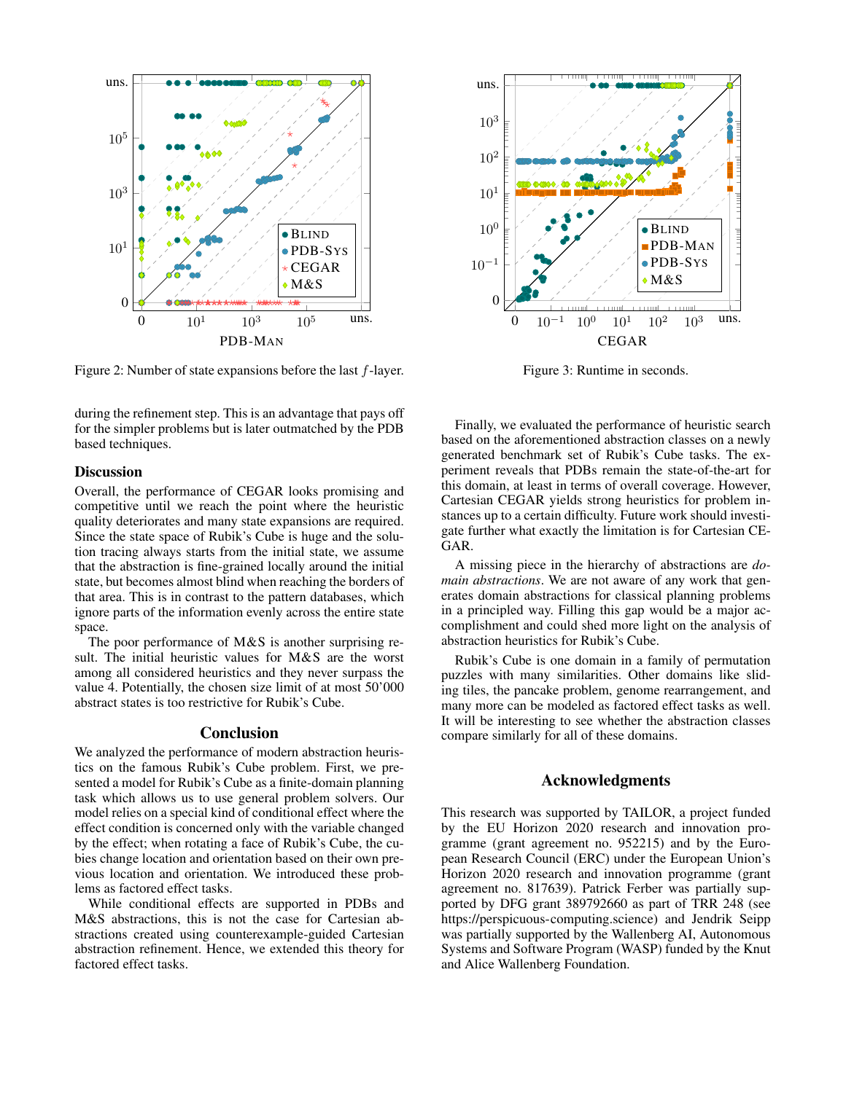

Figure 2: Number of state expansions before the last  $f$ -layer.

during the refinement step. This is an advantage that pays off for the simpler problems but is later outmatched by the PDB based techniques.

#### **Discussion**

Overall, the performance of CEGAR looks promising and competitive until we reach the point where the heuristic quality deteriorates and many state expansions are required. Since the state space of Rubik's Cube is huge and the solution tracing always starts from the initial state, we assume that the abstraction is fine-grained locally around the initial state, but becomes almost blind when reaching the borders of that area. This is in contrast to the pattern databases, which ignore parts of the information evenly across the entire state space.

The poor performance of M&S is another surprising result. The initial heuristic values for M&S are the worst among all considered heuristics and they never surpass the value 4. Potentially, the chosen size limit of at most 50'000 abstract states is too restrictive for Rubik's Cube.

### Conclusion

We analyzed the performance of modern abstraction heuristics on the famous Rubik's Cube problem. First, we presented a model for Rubik's Cube as a finite-domain planning task which allows us to use general problem solvers. Our model relies on a special kind of conditional effect where the effect condition is concerned only with the variable changed by the effect; when rotating a face of Rubik's Cube, the cubies change location and orientation based on their own previous location and orientation. We introduced these problems as factored effect tasks.

While conditional effects are supported in PDBs and M&S abstractions, this is not the case for Cartesian abstractions created using counterexample-guided Cartesian abstraction refinement. Hence, we extended this theory for factored effect tasks.



Figure 3: Runtime in seconds.

Finally, we evaluated the performance of heuristic search based on the aforementioned abstraction classes on a newly generated benchmark set of Rubik's Cube tasks. The experiment reveals that PDBs remain the state-of-the-art for this domain, at least in terms of overall coverage. However, Cartesian CEGAR yields strong heuristics for problem instances up to a certain difficulty. Future work should investigate further what exactly the limitation is for Cartesian CE-GAR.

A missing piece in the hierarchy of abstractions are *domain abstractions*. We are not aware of any work that generates domain abstractions for classical planning problems in a principled way. Filling this gap would be a major accomplishment and could shed more light on the analysis of abstraction heuristics for Rubik's Cube.

Rubik's Cube is one domain in a family of permutation puzzles with many similarities. Other domains like sliding tiles, the pancake problem, genome rearrangement, and many more can be modeled as factored effect tasks as well. It will be interesting to see whether the abstraction classes compare similarly for all of these domains.

### Acknowledgments

This research was supported by TAILOR, a project funded by the EU Horizon 2020 research and innovation programme (grant agreement no. 952215) and by the European Research Council (ERC) under the European Union's Horizon 2020 research and innovation programme (grant agreement no. 817639). Patrick Ferber was partially supported by DFG grant 389792660 as part of TRR 248 (see https://perspicuous-computing.science) and Jendrik Seipp was partially supported by the Wallenberg AI, Autonomous Systems and Software Program (WASP) funded by the Knut and Alice Wallenberg Foundation.